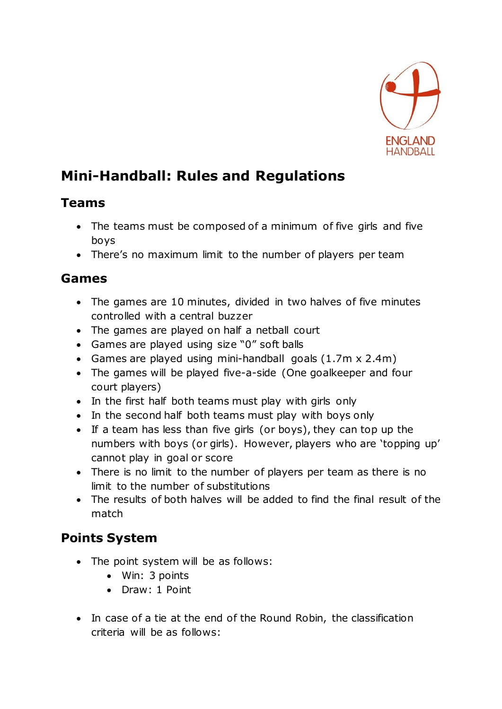

# **Mini-Handball: Rules and Regulations**

#### **Teams**

- The teams must be composed of a minimum of five girls and five boys
- There's no maximum limit to the number of players per team

## **Games**

- The games are 10 minutes, divided in two halves of five minutes controlled with a central buzzer
- The games are played on half a netball court
- Games are played using size "0" soft balls
- Games are played using mini-handball goals (1.7m x 2.4m)
- The games will be played five-a-side (One goalkeeper and four court players)
- In the first half both teams must play with girls only
- In the second half both teams must play with boys only
- If a team has less than five girls (or boys), they can top up the numbers with boys (or girls). However, players who are 'topping up' cannot play in goal or score
- There is no limit to the number of players per team as there is no limit to the number of substitutions
- The results of both halves will be added to find the final result of the match

## **Points System**

- The point system will be as follows:
	- Win: 3 points
	- Draw: 1 Point
- In case of a tie at the end of the Round Robin, the classification criteria will be as follows: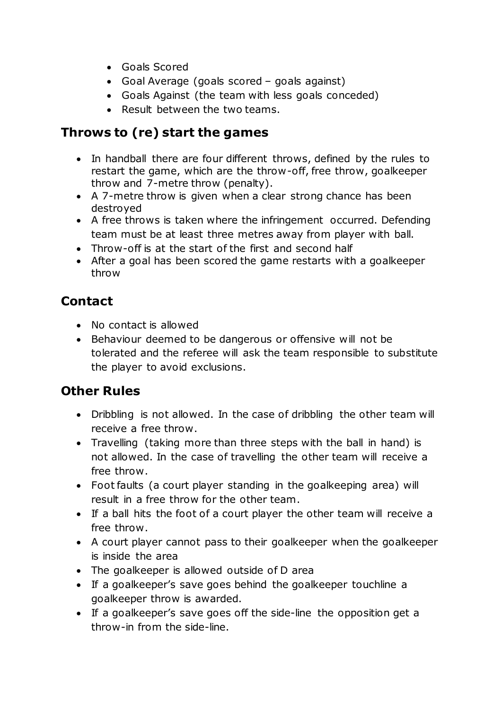- Goals Scored
- Goal Average (goals scored goals against)
- Goals Against (the team with less goals conceded)
- Result between the two teams.

#### **Throws to (re) start the games**

- In handball there are four different throws, defined by the rules to restart the game, which are the throw-off, free throw, goalkeeper throw and 7-metre throw (penalty).
- A 7-metre throw is given when a clear strong chance has been destroyed
- A free throws is taken where the infringement occurred. Defending team must be at least three metres away from player with ball.
- Throw-off is at the start of the first and second half
- After a goal has been scored the game restarts with a goalkeeper throw

### **Contact**

- No contact is allowed
- Behaviour deemed to be dangerous or offensive will not be tolerated and the referee will ask the team responsible to substitute the player to avoid exclusions.

### **Other Rules**

- Dribbling is not allowed. In the case of dribbling the other team will receive a free throw.
- Travelling (taking more than three steps with the ball in hand) is not allowed. In the case of travelling the other team will receive a free throw.
- Foot faults (a court player standing in the goalkeeping area) will result in a free throw for the other team.
- If a ball hits the foot of a court player the other team will receive a free throw.
- A court player cannot pass to their goalkeeper when the goalkeeper is inside the area
- The goalkeeper is allowed outside of D area
- If a goalkeeper's save goes behind the goalkeeper touchline a goalkeeper throw is awarded.
- If a goalkeeper's save goes off the side-line the opposition get a throw-in from the side-line.